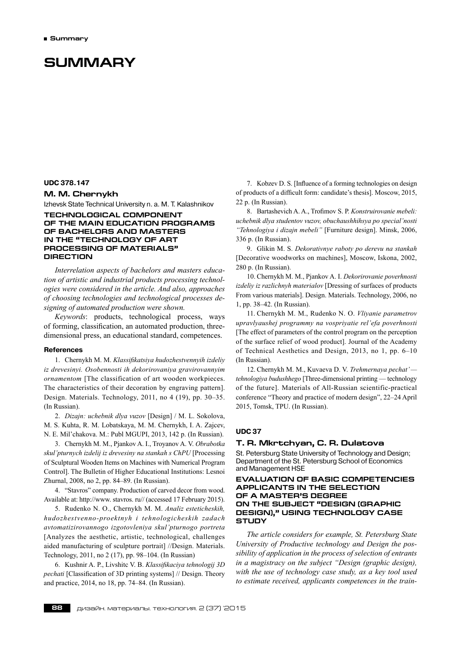# **Summary**

# **UDC 378.147**

# **M. M. Chernykh**

Izhevsk State Technical University n. a. M. T. Kalashnikov

# **TECHNOLOGICAL COMPONENT OF THE MAIN EDUCATION PROGRAMS OF BACHELORS AND MASTERS IN THE "TECHNOLOGY OF ART PROCESSING OF MATERIALS" DIRECTION**

*Interrelation aspects of bachelors and masters education of artistic and industrial products processing technologies were considered in the article. And also, approaches of choosing technologies and technological processes designing of automated production were shown.*

*Keywords*: products, technological process, ways of forming, classification, an automated production, threedimensional press, an educational standard, competences.

### **References**

1. Chernykh M. M. *Klassifikatsiya hudozhestvennyih izdeliy iz drevesinyi. Osobennosti ih dekorirovaniya gravirovannyim ornamentom* [The classification of art wooden workpieces. The characteristics of their decoration by engraving pattern]. Design. Materials. Technology, 2011, no 4 (19), pp. 30–35. (In Russian).

2. *Dizajn: uchebnik dlya vuzov* [Design] / M. L. Sokolova, M. S. Kuhta, R. M. Lobatskaya, M. M. Chernykh, I. A. Zajcev, N. E. Mil'chakova. M.: Рubl MGUPI, 2013, 142 p. (In Russian).

3. Chernykh M. M., Pjankov A. I., Troyanov A. V. *Obrabotka skul'pturnych izdelij iz drevesiny na stankah s ChPU* [Processing of Sculptural Wooden Items on Machines with Numerical Program Control]. The Bulletin of Higher Educational Institutions: Lesnoi Zhurnal, 2008, no 2, pp. 84–89. (In Russian).

4. "Stavros" company. Production of carved decor from wood. Available at: http://www. stavros. ru// (accessed 17 February 2015).

5. Rudenko N. O., Chernykh M. M. *Analiz esteticheskih, hudozhestvenno-proektnyh i tehnologicheskih zadach avtomatizirovannogo izgotovleniya skul'pturnogo portreta* [Analyzes the aesthetic, artistic, technological, challenges aided manufacturing of sculpture portrait] //Design. Materials. Technology, 2011, no 2 (17), pp. 98–104. (In Russian)

6. Kushnir A. P., Livshitc V. B. *Klassifikaciya tehnologij 3D pechati* [Classification of 3D printing systems] // Design. Theory and practice, 2014, no 18, pp. 74–84. (In Russian).

7. Kobzev D. S. [Influence of a forming technologies on design of products of a difficult form: candidate's thesis]. Moscow, 2015, 22 p. (In Russian).

8. Bartashevich A. A., Trofimov S. P. *Konstruirovanie mebeli: uchebnik dlya studentov vuzov, obuchaushhihsya po special'nosti "Tehnologiya i dizajn mebeli"* [Furniture design]. Minsk, 2006, 336 p. (In Russian).

9. Glikin M. S. *Dekorativnye raboty po derevu na stankah* [Decorative woodworks on machines], Moscow, Iskona, 2002, 280 p. (In Russian).

10. Chernykh M. M., Pjankov A. I. *Dekorirovanie poverhnosti izdeliy iz razlichnyh materialov* [Dressing of surfaces of products From various materials]. Design. Materials. Technology, 2006, no 1, pp. 38–42. (In Russian).

11. Chernykh M. M., Rudenko N. O. *Vliyanie parametrov upravlyaushej programmy na vospriyatie rel'efa poverhnosti* [The effect of parameters of the control program on the perception of the surface relief of wood product]. Journal of the Academy of Technical Aesthetics and Design, 2013, no 1, pp. 6–10 (In Russian).

12. Chernykh M. M., Kuvaeva D. V. *Trehmernaya pechat' tehnologiya budushhego* [Three-dimensional printing — technology of the future]. Materials of All-Russian scientific-practical conference "Theory and practice of modern design", 22–24 April 2015, Tomsk, TPU. (In Russian).

### **UDC 37**

# **T. R. Mkrtchyan, C. R. Dulatova**

St. Petersburg State University of Technology and Design; Department of the St. Petersburg School of Economics and Management HSE

# **EVALUATION OF basic competencies APPLICANTS in the selection of a master's degree on the subject "Design (graphic design)," USING TECHNOLOGY CASE STUDY**

*The article considers for example, St. Petersburg State University of Productive technology and Design the possibility of application in the process of selection of entrants in a magistracy on the subject "Design (graphic design), with the use of technology case study, as a key tool used to estimate received, applicants competences in the train-*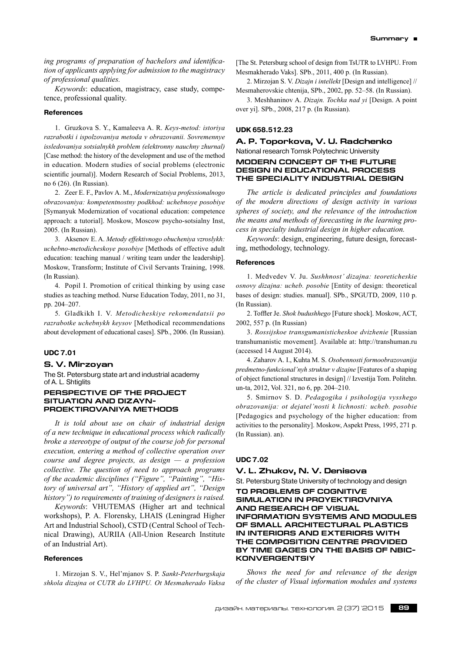*ing programs of preparation of bachelors and identification of applicants applying for admission to the magistracy of professional qualities.*

*Keywords*: education, magistracy, case study, competence, professional quality.

### **References**

1. Gruzkova S. Y., Kamaleeva A. R. *Keys-metod: istoriya razrabotki i ispolzovaniya metoda v obrazovanii. Sovremennye issledovaniya sotsialnykh problem (elektronny nauchny zhurnal)* [Case method: the history of the development and use of the method in education. Modern studies of social problems (electronic scientific journal)]. Modern Research of Social Problems, 2013, no 6 (26). (In Russian).

2. Zeer E. F., Pavlov A. M., *Modernizatsiya professionalnogo obrazovaniya: kompetentnostny podkhod: uchebnoye posobiye* [Symanyuk Modernization of vocational education: competence approach: a tutorial]. Moskow, Moscow psycho-sotsialny Inst, 2005. (In Russian).

3. Aksenov E. A. *Metody effektivnogo obucheniya vzroslykh: uchebno-metodicheskoye posobiye* [Methods of effective adult education: teaching manual / writing team under the leadership]. Moskow, Transform; Institute of Civil Servants Training, 1998. (In Russian).

4. Popil I. Promotion of critical thinking by using case studies as teaching method. Nurse Education Today, 2011, no 31, pp. 204–207.

5. Gladkikh I. V. *Metodicheskiye rekomendatsii po razrabotke uchebnykh keysov* [Methodical recommendations about development of educational cases]. SPb., 2006. (In Russian).

# **UDC 7.01**

#### **S. V. Mirzoyan**

The St. Petersburg state art and industrial academy of A. L. Shtiglits

# **PERSPECTIVE OF THE PROJECT SITUATION AND DIZAYN-PROEKTIROVANIYA METHODS**

*It is told about use on chair of industrial design of a new technique in educational process which radically broke a stereotype of output of the course job for personal execution, entering a method of collective operation over course and degree projects, as design — a profession collective. The question of need to approach programs of the academic disciplines ("Figure", "Painting", "History of universal art", "History of applied art", "Design history") to requirements of training of designers is raised.*

*Keywords*: VHUTEMAS (Higher art and technical workshops), P. A. Florensky, LHAIS (Leningrad Higher Art and Industrial School), CSTD (Central School of Technical Drawing), AURIIA (All-Union Research Institute of an Industrial Art).

# **References**

1. Mirzojan S. V., Hel'mjanov S. P. *Sankt-Peterburgskaja shkola dizajna ot CUTR do LVHPU. Ot Mesmaherado Vaksa*

[The St. Petersburg school of design from TsUTR to LVHPU. From Mesmakherado Vaks]. SPb., 2011, 400 p. (In Russian).

2. Mirzojan S. V. *Dizajn i intellekt* [Design and intelligence] // Mesmaherovskie chtenija, SPb., 2002, pp. 52–58. (In Russian).

3. Meshhaninov A. *Dizajn. Tochka nad yi* [Design. A point over yi]. SPb., 2008, 217 p. (In Russian).

# **UDK 658.512.23**

# **A. P. Toporkova, V. U. Radchenko** National research Tomsk Polytechnic University **MODERN CONCEPT OF THE FUTURE DESIGN IN EDUCATIONAL PROCESS THE SPECIALITY INDUSTRIAL DESIGN**

*The article is dedicated principles and foundations of the modern directions of design activity in various spheres of society, and the relevance of the introduction the means and methods of forecasting in the learning process in specialty industrial design in higher education.*

*Keywords*: design, engineering, future design, forecasting, methodology, technology.

### **References**

1. Medvedev V. Ju. *Sushhnost' dizajna: teoreticheskie osnovy dizajna: ucheb. posobie* [Entity of design: theoretical bases of design: studies. manual]. SPb., SPGUTD, 2009, 110 p. (In Russian).

2. Toffler Je. *Shok budushhego* [Future shock]. Moskow, ACT, 2002, 557 p. (In Russian)

3. *Rossijskoe transgumanisticheskoe dvizhenie* [Russian transhumanistic movement]. Available at: http://transhuman.ru (accessed 14 August 2014).

4. Zaharov A. I., Kuhta M. S. *Osobennosti formoobrazovanija predmetno-funkcional'nyh struktur v dizajne* [Features of a shaping of object functional structures in design] // Izvestija Tom. Politehn. un-ta, 2012, Vol. 321, no 6, pp. 204–210.

5. Smirnov S. D. *Pedagogika i psihologija vysshego obrazovanija: ot dejatel'nosti k lichnosti: ucheb. posobie* [Pedagogics and psychology of the higher education: from activities to the personality]. Moskow, Aspekt Press, 1995, 271 p. (In Russian). an).

### **UDC 7.02**

### **V. L. Zhukov, N. V. Denisova**

St. Petersburg State University of technology and design

# **TO PROBLEMS OF COGNITIVE SIMULATION IN PROYEKTIROVNIYA AND RESEARCH OF VISUAL INFORMATION SYSTEMS AND MODULES OF SMALL ARCHITECTURAL PLASTICS IN INTERIORS AND EXTERIORS WITH THE COMPOSITION CENTRE PROVIDED BY TIME GAGES ON THE BASIS OF NBIC-KONVERGENTSIY**

*Shows the need for and relevance of the design of the cluster of Visual information modules and systems*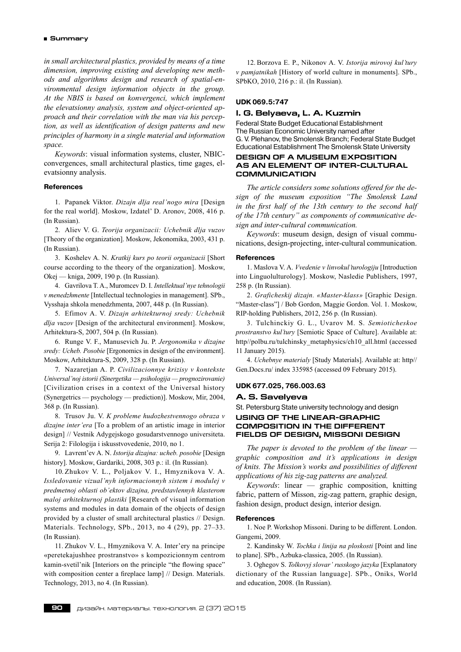*in small architectural plastics, provided by means of a time dimension, improving existing and developing new methods and algorithms design and research of spatial-environmental design information objects in the group. At the NBIS is based on konvergenci, which implement the elevatsionny analysis, system and object-oriented approach and their correlation with the man via his perception, as well as identification of design patterns and new principles of harmony in a single material and information space.*

*Keywords*: visual information systems, cluster, NBICconvergences, small architectural plastics, time gages, elevatsionny analysis.

# **References**

1. Papanek Viktor. *Dizajn dlja real'nogo mira* [Design for the real world]. Moskow, Izdatel' D. Aronov, 2008, 416 p. (In Russian).

2. Aliev V. G. *Teorija organizacii: Uchebnik dlja vuzov* [Theory of the organization]. Moskow, Jekonomika, 2003, 431 p. (In Russian).

3. Koshelev A. N. *Kratkij kurs po teorii organizacii* [Short course according to the theory of the organization]. Moskow, Okej — kniga, 2009, 190 p. (In Russian).

4. Gavrilova T. A., Muromcev D. I. *Intellektual'nye tehnologii v menedzhmente* [Intellectual technologies in management]. SPb., Vysshaja shkola menedzhmenta, 2007, 448 p. (In Russian).

5. Efimov A. V. *Dizajn arhitekturnoj sredy: Uchebnik dlja vuzov* [Design of the architectural environment]. Moskow, Arhitektura-S, 2007, 504 p. (In Russian).

6. Runge V. F., Manusevich Ju. P. *Jergonomika v dizajne sredy: Ucheb. Posobie* [Ergonomics in design of the environment]. Moskow, Arhitektura-S, 2009, 328 p. (In Russian).

7. Nazaretjan A. P. *Civilizacionnye krizisy v kontekste Universal'noj istorii (Sinergetika — psihologija — prognozirovanie)* [Civilization crises in a context of the Universal history (Synergetrics — psychology — prediction)]. Moskow, Mir, 2004, 368 p. (In Russian).

8. Trusov Ju. V. *K probleme hudozhestvennogo obraza v dizajne inter'era* [To a problem of an artistic image in interior design] // Vestnik Adygejskogo gosudarstvennogo universiteta. Serija 2: Filologija i iskusstvovedenie, 2010, no 1.

9. Lavrent'ev A. N. *Istorija dizajna: ucheb. posobie* [Design history]. Moskow, Gardariki, 2008, 303 p.: il. (In Russian).

10. Zhukov V. L., Poljakov V. I., Hmyznikova V. A. *Issledovanie vizual'nyh informacionnyh sistem i modulej v predmetnoj oblasti ob'ektov dizajna, predstavlennyh klasterom maloj arhitekturnoj plastiki* [Research of visual information systems and modules in data domain of the objects of design provided by a cluster of small architectural plastics // Design. Materials. Technology, SPb., 2013, no 4 (29), pp. 27–33. (In Russian).

11. Zhukov V. L., Hmyznikova V. A. Inter'ery na principe «peretekajushhee prostranstvo» s kompozicionnym centrom kamin-svetil'nik [Interiors on the principle "the flowing space" with composition center a fireplace lamp] // Design. Materials. Technology, 2013, no 4. (In Russian).

12. Borzova E. P., Nikonov A. V. *Istorija mirovoj kul'tury v pamjatnikah* [History of world culture in monuments]. SPb., SPbKO, 2010, 216 p.: il. (In Russian).

### **UDK 069.5:747**

# **I. G. Belyaeva, L. A. Kuzmin**

Federal State Budget Educational Establishment The Russian Economic University named after G. V. Plehanov, the Smolensk Branch; Federal State Budget Educational Establishment The Smolensk State University

# **DESIGN OF A MUSEUM EXPOSITION AS AN ELEMENT OF INTER-CULTURAL COMMUNICATION**

*The article considers some solutions offered for the design of the museum exposition "The Smolensk Land in the first half of the 13th century to the second half of the 17th century" as components of communicative design and inter-cultural communication.*

*Keywords*: museum design, design of visual communications, design-projecting, inter-cultural communication.

### **References**

1. Maslova V. A. *Vvedenie v linvokul'turologiju* [Introduction into Linguolulturology]. Moskow, Nasledie Publishers, 1997, 258 p. (In Russian).

2. *Graficheskij dizajn. «Master-klass»* [Graphic Design. "Master-class"] / Bob Gordon, Maggie Gordon. Vol. 1. Moskow, RIP-holding Publishers, 2012, 256 p. (In Russian).

3. Tulchinckiy G. L., Uvarov M. S. *Semioticheskoe prostranstvo kul'tury* [Semiotic Space of Culture]. Available at: http//polbu.ru/tulchinsky\_metaphysics/ch10\_all.html (accessed 11 January 2015).

4. *Uchebnye materialy* [Study Materials]. Available at: http// Gen.Docs.ru/ index 335985 (accessed 09 February 2015).

### **UDK 677.025, 766.003.63**

# **A. S. Savelyeva**

St. Petersburg State university technology and design

# **USING OF THE LINEAR-GRAPHIC COMPOSITION IN THE DIFFERENT FIELDS OF DESIGN, MISSONI DESIGN**

*The paper is devoted to the problem of the linear graphic composition and it's applications in design of knits. The Mission's works and possibilities of different applications of his zig-zag patterns are analyzed.*

*Keywords*: linear — graphic composition, knitting fabric, pattern of Misson, zig-zag pattern, graphic design, fashion design, product design, interior design.

#### **References**

1. Noe P. Workshop Missoni. Daring to be different. London. Gangemi, 2009.

2. Kandinsky W. *Tochka i linija na ploskosti* [Point and line to plane]. SPb., Azbuka-classica, 2005. (In Russian).

3. Oghegov S. *Tolkovyj slovar' russkogo jazyka* [Explanatory dictionary of the Russian language]. SPb., Oniks, World and education, 2008. (In Russian).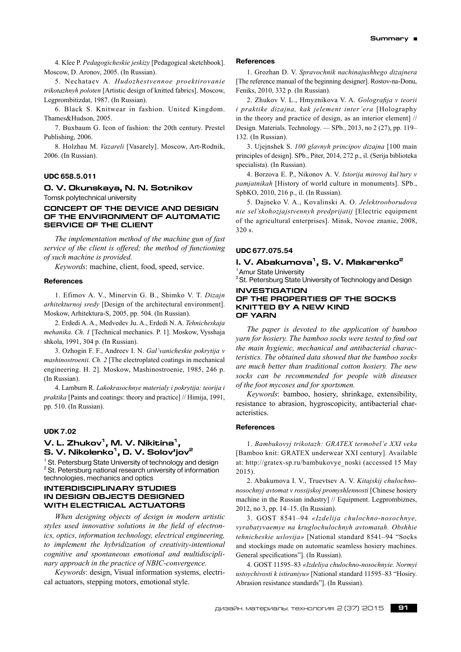4. Klee P. *Pedagogicheskie jeskizy* [Pedagogical sketchbook]. Moscow, D. Aronov, 2005. (In Russian).

5. Nechataev A. *Hudozhestvennoe proektirovanie trikotazhnyh poloten* [Artistic design of knitted fabrics]. Moscow, Legprombitizdat, 1987. (In Russian).

6. Black S. Knitwear in fashion. United Kingdom. Thames&Hudson, 2005.

7. Buxbaum G. Icon of fashion: the 20th century. Prestel Publishing, 2006.

8. Holzhau M. *Vazareli* [Vasarely]. Moscow, Art-Rodnik, 2006. (In Russian).

# **UDC 658.5.011**

### **O. V. Okunskaya, N. N. Sotnikov**

Tomsk polytechnical university

# **CONCEPT OF THE DEVICE AND DESIGN OF THE ENVIRONMENT OF AUTOMATIC SERVICE OF THE CLIENT**

*The implementation method of the machine gun of fast service of the client is offered; the method of functioning of such machine is provided.*

*Keywords*: machine, client, food, speed, service.

### **References**

1. Efimov A. V., Minervin G. B., Shimko V. T. *Dizajn arhitekturnoj sredy* [Design of the architectural environment]. Moskow, Arhitektura-S, 2005, pp. 504. (In Russian).

2. Erdedi A. A., Medvedev Ju. A., Erdedi N. A. *Tehnicheskaja mehanika. Ch. 1* [Technical mechanics. P. 1]. Moskow, Vysshaja shkola, 1991, 304 p. (In Russian).

3. Ozhogin F. F., Andreev I. N. *Gal'vanicheskie pokrytija v mashinostroenii. Ch. 2* [The electroplated coatings in mechanical engineering. H. 2]. Moskow, Mashinostroenie, 1985, 246 p. (In Russian).

4. Lamburn R. *Lakokrasochnye materialy i pokrytija: teorija i praktika* [Paints and coatings: theory and practice] // Himija, 1991, pp. 510. (In Russian).

### **UDK 7.02**

# **V. L. Zhukov1, M. V. Nikitina1, S. V. Nikolenko1, D. V. Solov'jov2**

<sup>1</sup> St. Petersburg State University of technology and design  $2 \times 1$  Petersburg patienal reception university of information <sup>2</sup> St. Petersburg national research university of information technologies, mechanics and optics

### **Interdisciplinary studies in design objects designed with electrical actuators**

*When designing objects of design in modern artistic styles used innovative solutions in the field of electronics, optics, information technology, electrical engineering, to implement the hybridization of creativity-intentional cognitive and spontaneous emotional and multidisciplinary approach in the practice of NBIC-convergence.*

*Keywords*: design, Visual information systems, electrical actuators, stepping motors, emotional style.

### **References**

1. Grozhan D. V. *Spravochnik nachinajushhego dizajnera* [The reference manual of the beginning designer]. Rostov-na-Donu, Feniks, 2010, 332 p. (In Russian).

2. Zhukov V. L., Hmyznikova V. A. *Golografija v teorii i praktike dizajna, kak jelement inter'era* [Holography in the theory and practice of design, as an interior element] // Design. Materials. Technology. — SPb., 2013, no 2 (27), pp. 119– 132. (In Russian).

3. Ujejnshek S. *100 glavnyh principov dizajna* [100 main principles of design]. SPb., Piter, 2014, 272 p., il. (Serija biblioteka specialista). (In Russian).

4. Borzova E. P., Nikonov A. V. *Istorija mirovoj kul'tury v pamjatnikah* [History of world culture in monuments]. SPb., SpbKO, 2010, 216 p., il. (In Russian).

5. Dajneko V. A., Kovalinski A. O. *Jelektrooborudova nie sel'skohozjajstvennyh predprijatij* [Electric equipment of the agricultural enterprises]. Minsk, Novoe znanie, 2008, 320 s.

# **UDC 677.075.54**

# **I. V. Abakumova1, S. V. Makarenko2**

<sup>1</sup> Amur State University

<sup>2</sup> St. Petersburg State University of Technology and Design

### **INVESTIGATION OF THE PROPERTIES OF THE SOCKS KNITTED BY A NEW KIND OF YARN**

*The paper is devoted to the application of bamboo yarn for hosiery. The bamboo socks were tested to find out the main hygienic, mechanical and antibacterial characteristics. The obtained data showed that the bamboo socks are much better than traditional cotton hosiery. The new socks can be recommended for people with diseases of the foot mycoses and for sportsmen.*

*Keywords*: bamboo, hosiery, shrinkage, extensibility, resistance to abrasion, hygroscopicity, antibacterial characteristics.

# **References**

1. *Bambukovyj trikotazh: GRATEX termobel'e XXI veka* [Bamboo knit: GRATEX underwear XXI century]. Available at: http://gratex-sp.ru/bambukovye\_noski (accessed 15 May 2015).

2. Abakumova I. V., Truevtsev A. V. *Kitajskij chulochnonosochnyj avtomat v rossijskoj promyshlennosti* [Chinese hosiery machine in the Russian industry] // Equipment. Legprombiznes, 2012, no 3, pp. 14–15. (In Russian).

3. GOST 8541–94 *«Izdelija chulochno-nosochnye, vyrabatyvaemye na kruglochulochnyh avtomatah. Obshhie tehnicheskie uslovija»* [National standard 8541–94 "Socks and stockings made on automatic seamless hosiery machines. General specifications"]. (In Russian).

4. GOST 11595–83 *«Izdeliya chulochno-nosochnyie. Normyi ustoychivosti k istiraniyu»* [National standard 11595–83 "Hosiry. Abrasion resistance standards"]. (In Russian).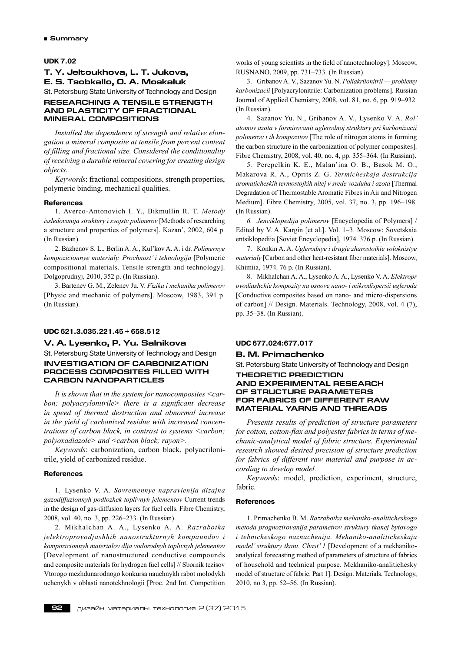### **UDK 7.02**

# **T. Y. Jeltoukhova, L. T. Jukova, E. S. Tsobkallo, O. A. Moskaluk**

St. Petersburg State University of Technology and Design

# **RESEARCHING A TENSILE STRENGTH AND PLASTICITY OF FRACTIONAL MINERAL COMPOSITIONS**

*Installed the dependence of strength and relative elongation a mineral composite at tensile from percent content of filling and fractional size. Considered the conditionality of receiving a durable mineral covering for creating design objects.*

*Keywords*: fractional compositions, strength properties, polymeric binding, mechanical qualities.

### **References**

1. Averco-Antonovich I. Y., Bikmullin R. T. *Metody issledovanija struktury i svojstv polimerov* [Methods of researching a structure and properties of polymers]. Kazan', 2002, 604 p. (In Russian).

2. Bazhenov S. L., Berlin A. A., Kul'kov A. A. i dr. *Polimernye kompozicionnye materialy. Prochnost' i tehnologija* [Polymeric compositional materials. Tensile strength and technology]. Dolgoprudnyj, 2010, 352 p. (In Russian).

3. Bartenev G. M., Zelenev Ju. V. *Fizika i mehanika polimerov* [Physic and mechanic of polymers]. Moscow, 1983, 391 p. (In Russian).

# **UDC 621.3.035.221.45 + 658.512**

# **V. A. Lysenko, P. Yu. Salnikova**

St. Petersburg State University of Technology and Design **INVESTIGATION OF carbonization**

# **process composites filled with carbon nanoparticles**

*It is shown that in the system for nanocomposites <carbon; polyacrylonitrile> there is a significant decrease in speed of thermal destruction and abnormal increase in the yield of carbonized residue with increased concentrations of carbon black, in contrast to systems <carbon; polyoxadiazole> and <carbon black; rayon>.*

*Keywords*: carbonization, carbon black, polyacrilonitrile, yield of carbonized residue.

### **References**

1. Lysenko V. A. *Sovremennye napravlenija dizajna gazodiffuzionnyh podlozhek toplivnyh jelementov* Current trends in the design of gas-diffusion layers for fuel cells. Fibre Chemistry, 2008, vol. 40, no. 3, pp. 226–233. (In Russian).

2. Mikhalchan A. A., Lysenko A. A. *Razrabotka jelektroprovodjashhih nanostrukturnyh kompaundov i kompozicionnyh materialov dlja vodorodnyh toplivnyh jelementov* [Development of nanostructured conductive compounds and composite materials for hydrogen fuel cells] // Sbornik tezisov Vtorogo mezhdunarodnogo konkursa nauchnykh rabot molodykh uchenykh v oblasti nanotekhnologii [Proc. 2nd Int. Competition works of young scientists in the field of nanotechnology]. Moscow, RUSNANO, 2009, pp. 731–733. (In Russian).

3. Gribanov A. V., Sazanov Yu. N. *Poliakrilonitril — problemy karbonizacii* [Polyacrylonitrile: Carbonization problems]. Russian Journal of Applied Chemistry, 2008, vol. 81, no. 6, pp. 919–932. (In Russian).

4. Sazanov Yu. N., Gribanov A. V., Lysenko V. A. *Rol' atomov azota v formirovanii uglerodnoj struktury pri karbonizacii polimerov i ih kompozitov* [The role of nitrogen atoms in forming the carbon structure in the carbonization of polymer composites]. Fibre Chemistry, 2008, vol. 40, no. 4, pp. 355–364. (In Russian).

5. Perepelkin K. E., Malan'ina O. B., Basok M. O., Makarova R. A., Oprits Z. G. *Termicheskaja destrukcija aromaticheskih termostojkih nitej v srede vozduha i azota* [Thermal Degradation of Thermostable Aromatic Fibres in Air and Nitrogen Medium]. Fibre Chemistry, 2005, vol. 37, no. 3, pp. 196–198. (In Russian).

*6. Jenciklopedija polimerov* [Encyclopedia of Polymers] / Edited by V. A. Kargin [et al.]. Vol. 1–3. Moscow: Sovetskaia entsiklopediia [Soviet Encyclopedia], 1974. 376 p. (In Russian).

7. Konkin A. A. *Uglerodnye i drugie zharostoikie voloknistye materialy* [Carbon and other heat-resistant fiber materials]. Moscow, Khimiia, 1974. 76 p. (In Russian).

8. Mikhalchan A. A., Lysenko A. A., Lysenko V. A. *Elektropr ovodiashchie kompozity na osnove nano- i mikrodispersii ugleroda* [Conductive composites based on nano- and micro-dispersions of carbon] // Design. Materials. Technology, 2008, vol. 4 (7), pp. 35–38. (In Russian).

### **UDC 677.024:677.017**

# **B. M. Primachenko**

St. Petersburg State University of Technology and Design

# **Theoretic prediction and experimental research of structure parameters for fabrics of different raw material yarns and threads**

*Presents results of prediction of structure parameters for cotton, cotton-flax and polyester fabrics in terms of mechanic-analytical model of fabric structure. Experimental research showed desired precision of structure prediction for fabrics of different raw material and purpose in according to develop model.*

*Keywords*: model, prediction, experiment, structure, fabric.

### **References**

1. Primachenko B. M. *Razrabotka mehaniko-analiticheskogo metoda prognozirovanija parametrov struktury tkanej bytovogo i tehnicheskogo naznachenija. Mehaniko-analiticheskaja model' struktury tkani. Chast' 1* [Development of a mekhanikoanalytical forecasting method of parameters of structure of fabrics of household and technical purpose. Mekhaniko-analitichesky model of structure of fabric. Part 1]. Design. Materials. Technology, 2010, no 3, pp. 52–56. (In Russian).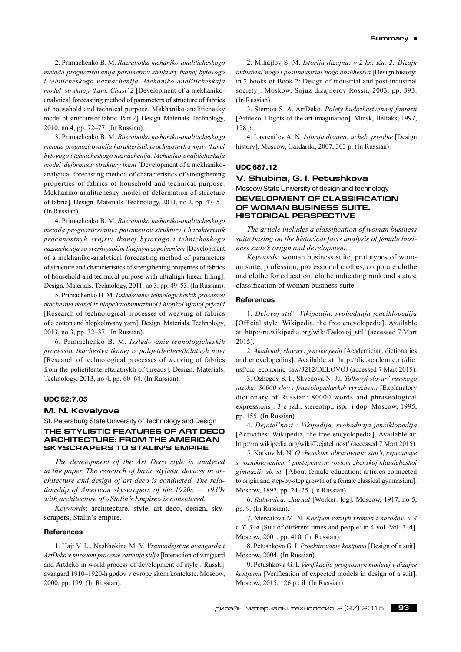2. Primachenko B. M. *Razrabotka mehaniko-analiticheskogo metoda prognozirovanija parametrov struktury tkanej bytovogo i tehnicheskogo naznachenija. Mehaniko-analiticheskaja model' struktury tkani. Chast' 2* [Development of a mekhanikoanalytical forecasting method of parameters of structure of fabrics of household and technical purpose. Mekhaniko-analitichesky model of structure of fabric. Part 2]. Design. Materials. Technology, 2010, no 4, pp. 72–77. (In Russian).

3. Primachenko B. M. *Razrabotka mehaniko-analiticheskogo metoda prognozirovanija harakteristik prochnostnyh svojstv tkanej bytovogo i tehnicheskogo naznachenija. Mehaniko-analiticheskaja model' deformacii struktury tkani* [Development of a mekhanikoanalytical forecasting method of characteristics of strengthening properties of fabrics of household and technical purpose. Mekhaniko-analitichesky model of deformation of structure of fabric]. Design. Materials. Technology, 2011, no 2, pp. 47–53. (In Russian).

4. Primachenko B. M. *Razrabotka mehaniko-analiticheskogo metoda prognozirovanija parametrov struktury i harakteristik prochnostnyh svojstv tkanej bytovogo i tehnicheskogo naznachenija so sverhvysokim linejnym zapolneniem* [Development of a mekhaniko-analytical forecasting method of parameters of structure and characteristics of strengthening properties of fabrics of household and technical purpose with ultrahigh linear filling]. Design. Materials. Technology, 2011, no 3, pp. 49–53. (In Russian).

5. Primachenko B. M. *Issledovanie tehnologicheskih processov tkachestva tkanej iz hlopchatobumazhnoj i hlopkol'njanoj prjazhi* [Research of technological processes of weaving of fabrics of a cotton and hlopkolnyany yarn]. Design. Materials. Technology, 2013, no 3, pp. 32–37. (In Russian).

6. Primachenko B. M. *Issledovanie tehnologicheskih processov tkachestva tkanej iz polijetilentereftalatnyh nitej* [Research of technological processes of weaving of fabrics from the polietilentereftalatnykh of threads]. Design. Materials. Technology, 2013, no 4, pp. 60–64. (In Russian).

### **UDC 62:7.05**

# **M. N. Kovalyova**

St. Petersburg State University of Technology and Design

# **The Stylistic features of Art Deco architecture: from the American skyscrapers to Stalin's Empire**

*The development of the Art Deco style is analyzed in the paper. The research of basic stylistic devices in architecture and design of art deco is conducted. The relationship of American skyscrapers of the 1920s — 1930s with architecture of «Stalin's Empire» is considered.*

*Keywords*: architecture, style, art deco, design, skyscrapers, Stalin's empire.

# **References**

1. Hajt V. L., Nashhokina M. V. *Vzaimodejstvie avangarda i ArtDeko v mirovom processe razvitija stilja* [Interaction of vanguard and Artdeko in world process of development of style]. Russkij avangard 1910–1920‑h godov v evropejskom kontekste. Moscow, 2000, pp. 199. (In Russian).

2. Mihajlov S. M. *Istorija dizajna: v 2 kn. Kn. 2: Dizajn industrial'nogo i postindustrial'nogo obshhestva* [Design history: in 2 books of Book 2: Design of industrial and post-industrial society]. Moskow, Sojuz dizajnerov Rossii, 2003, pp. 393. (In Russian).

3. Sternou S. A. ArtDeko. *Polety hudozhestvennoj fantazii* [Artdeko. Flights of the art imagination]. Minsk, Belfaks, 1997, 128 p.

4. Lavrent'ev A. N. *Istorija dizajna: ucheb. posobie* [Design history]. Moscow, Gardariki, 2007, 303 p. (In Russian).

# **UDC 687.12**

# **V. Shubina, G. I. Petushkova** Moscow State University of design and technology **DEVELOPMENT OF CLASSIFICATION OF WOMAN BUSINESS SUITE. HISTORICAL PERSPECTIVE**

*The article includes a classification of woman business suite basing on the historical facts analysis of female business suite's origin and development.*

*Keywords*: woman business suite, prototypes of woman suite, profession, professional clothes, corporate clothe and clothe for education; clothe indicating rank and status; classification of woman business suite.

# **References**

1. *Delovoj stil': Vikipedija, svobodnaja jenciklopedija* [Official style: Wikipedia, the free encyclopedia]. Available at: http://ru.wikipedia.org/wiki/Delovoj\_stil' (accessed 7 Mart 2015).

2. *Akademik, slovari i jenciklopedii* [Academician, dictionaries and encyclopedias]. Available at: http://dic.academic.ru/dic. nsf/dic\_economic\_law/3212/DELOVOJ (accessed 7 Mart 2015).

3. Ozhegov S. I., Shvedova N. Ju. *Tolkovyj slovar' russkogo jazyka: 80000 slov i frazeologicheskih vyrazhenij* [Explanatory dictionary of Russian: 80000 words and phraseological expressions]. 3‑e izd., stereotip., ispr. i dop. Moscow, 1995, pp. 155. (In Russian).

4. *Dejatel'nost': Vikipedija, svobodnaja jenciklopedija* [Activities: Wikipedia, the free encyclopedia]. Available at: http://ru.wikipedia.org/wiki/Dejatel'nost' (accessed 7 Mart 2015).

5. Katkov M. N. *O zhenskom obrazovanii: stat'i, svjazannye s vozniknoveniem i postepennym rostom zhenskoj klassicheskoj gimnazii: sb. st.* [About female education: articles connected to origin and step-by-step growth of a female classical gymnasium]. Moscow, 1897, pp. 24–25. (In Russian).

6. *Rabotnica: zhurnal* [Worker: log]. Moscow, 1917, no 5, pp. 9. (In Russian).

7. Mercalova M. N. *Kostjum raznyh vremen i narodov: v 4 t. T. 3–4* [Suit of different times and people: in 4 vol. Vol. 3–4]. Moscow, 2001, pp. 410. (In Russian).

8. Petushkova G. I. *Proektirovanie kostjuma* [Design of a suit]. Moscow, 2004. (In Russian).

9. Petushkova G. I. *Verifikacija prognoznyh modelej v dizajne kostjuma* [Verification of expected models in design of a suit]. Moscow, 2015, 126 p.: il. (In Russian).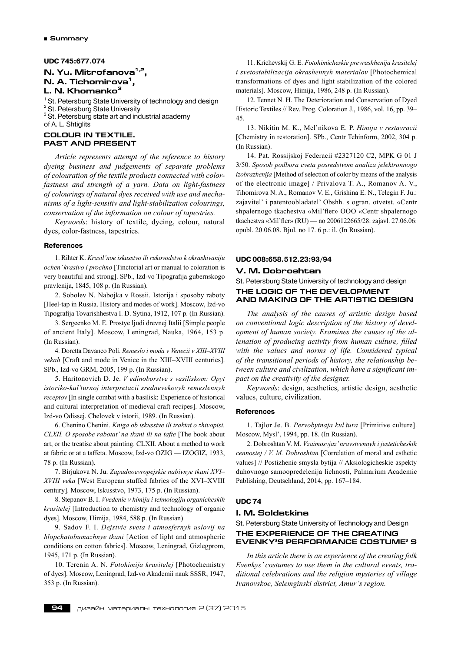# **UDC 745:677.074**

# **N. Yu. Mitrofanova1,2, N. A. Tichomirova**<sup>1</sup>. **L. N. Khomanko3**

<sup>1</sup> St. Petersburg State University of technology and design<br><sup>2</sup> St. Petersburg State University <sup>2</sup> St. Petersburg State University

 $3$  St. Petersburg state art and industrial academy

of A. L. Shtiglits

# **COLOUR IN TEXTILE. PAST AND PRESENT**

*Article represents attempt of the reference to history dyeing business and judgements of separate problems of colouration of the textile products connected with colorfastness and strength of a yarn. Data on light-fastness of colourings of natural dyes received with use and mechanisms of a light-sensitiv and light-stabilization colourings, conservation of the information on colour of tapestries.*

*Keywords*: history of textile, dyeing, colour, natural dyes, color-fastness, tapestries.

# **References**

1. Rihter K. *Krasil'noe iskusstvo ili rukovodstvo k okrashivaniju ochen' krasivo i prochno* [Tinctorial art or manual to coloration is very beautiful and strong]. SPb., Izd-vo Tipografija gubernskogo pravlenija, 1845, 108 p. (In Russian).

2. Sobolev N. Nabojka v Rossii. Istorija i sposoby raboty [Heel-tap in Russia. History and modes of work]. Moscow, Izd-vo Tipografija Tovarishhestva I. D. Sytina, 1912, 107 p. (In Russian).

3. Sergeenko M. E. Prostye ljudi drevnej Italii [Simple people of ancient Italy]. Moscow, Leningrad, Nauka, 1964, 153 p. (In Russian).

4. Doretta Davanco Poli. *Remeslo i moda v Venecii v XIII–XVIII vekah* [Craft and mode in Venice in the XIII–XVIII centuries]. SPb., Izd-vo GRM, 2005, 199 p. (In Russian).

5. Haritonovich D. Je. *V edinoborstve s vasiliskom: Opyt istoriko-kul'turnoj interpretacii srednevekovyh remeslennyh receptov* [In single combat with a basilisk: Experience of historical and cultural interpretation of medieval craft recipes]. Moscow, Izd-vo Odissej. Chelovek v istorii, 1989. (In Russian).

6. Chenino Chenini. *Kniga ob iskusstve ili traktat o zhivopisi. CLXII. O sposobe rabotat' na tkani ili na tafte* [The book about art, or the treatise about painting. CLXII. About a method to work at fabric or at a taffeta. Moscow, Izd-vo OZIG — IZOGIZ, 1933, 78 p. (In Russian).

7. Birjukova N. Ju. *Zapadnoevropejskie nabivnye tkani XVI– XVIII veka* [West European stuffed fabrics of the XVI–XVIII century]. Moscow, Iskusstvo, 1973, 175 p. (In Russian).

8. Stepanov B. I. *Vvedenie v himiju i tehnologiju organicheskih krasitelej* [Introduction to chemistry and technology of organic dyes]. Moscow, Himija, 1984, 588 p. (In Russian).

9. Sadov F. I. *Dejstvie sveta i atmosfernyh uslovij na hlopchatobumazhnye tkani* [Action of light and atmospheric conditions on cotton fabrics]. Moscow, Leningrad, Gizlegprom, 1945, 171 p. (In Russian).

10. Terenin A. N. *Fotohimija krasitelej* [Photochemistry of dyes]. Moscow, Leningrad, Izd-vo Akademii nauk SSSR, 1947, 353 p. (In Russian).

11. Krichevskij G. E. *Fotohimicheskie prevrashhenija krasitelej i svetostabilizacija okrashennyh materialov* [Photochemical transformations of dyes and light stabilization of the colored materials]. Moscow, Himija, 1986, 248 p. (In Russian).

12. Tennet N. H. The Deterioration and Conservation of Dyed Historic Textiles // Rev. Prog. Coloration J., 1986, vol. 16, pp. 39– 45.

13. Nikitin M. K., Mel'nikova E. P. *Himija v restavracii* [Chemistry in restoration]. SPb., Centr Tehinform, 2002, 304 p. (In Russian).

14. Pat. Rossijskoj Federacii #2327120 C2, MPK G 01 J 3/50. *Sposob podbora cveta posredstvom analiza jelektronnogo izobrazhenija* [Method of selection of color by means of the analysis of the electronic image] / Privalova T. A., Romanov A. V., Tihomirova N. A., Romanov V. E., Grishina E. N., Telegin F. Ju.: zajavitel' i patentoobladatel' Obshh. s ogran. otvetst. «Centr shpalernogo tkachestva «Mil'fler» OOO «Centr shpalernogo tkachestva «Mil'fler» (RU) — no 2006122665/28: zajavl. 27.06.06: opubl. 20.06.08. Bjul. no 17. 6 p.: il. (In Russian).

# **UDC 008:658.512.23:93/94**

### **V. M. Dobroshtan**

St. Petersburg State University of technology and design **The logic of the development and making of the Artistic Design**

*The analysis of the causes of artistic design based on conventional logic description of the history of development of human society. Examines the causes of the alienation of producing activity from human culture, filled with the values and norms of life. Considered typical of the transitional periods of history, the relationship between culture and civilization, which have a significant impact on the creativity of the designer.*

*Keywords*: design, aesthetics, artistic design, aesthetic values, culture, civilization.

### **References**

1. Tajlor Je. B. *Pervobytnaja kul'tura* [Primitive culture]. Moscow, Mysl', 1994, pp. 18. (In Russian).

2. Dobroshtan V. M. *Vzaimosvjaz'nravstvennyh i jesteticheskih cennostej / V. M. Dobroshtan* [Correlation of moral and esthetic values] // Postizhenie smysla bytija // Aksiologicheskie aspekty duhovnogo samoopredelenija lichnosti, Palmarium Academic Pablishing, Deutschland, 2014, pp. 167–184.

### **UDC 74**

### **I. M. Soldatkina**

St. Petersburg State University of Technology and Design **THE EXPERIENCE OF THE CREATING EVENKY'S PERFORMANCE COSTUME' S**

*In this article there is an experience of the creating folk Evenkys' costumes to use them in the cultural events, traditional celebrations and the religion mysteries of village Ivanovskoe, Selemginski district, Amur's region.*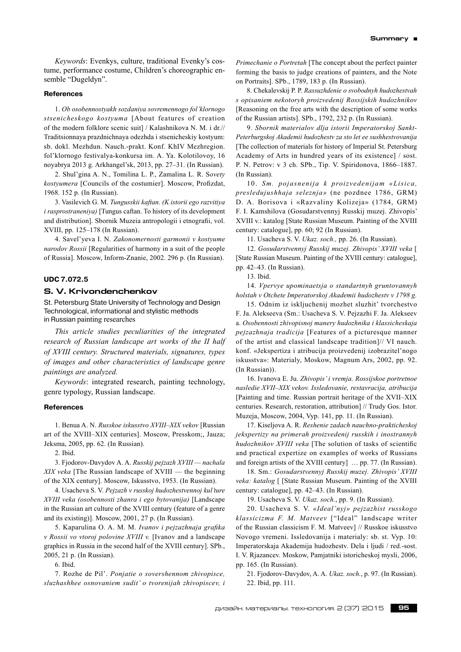*Keywords*: Evenkys, culture, traditional Evenky's costume, performance costume, Children's choreographic ensemble "Dugeldyn".

# **References**

1. *Ob osobennostyakh sozdaniya sovremennogo fol'klornogo stsenicheskogo kostyuma* [About features of creation of the modern folklore scenic suit] / Kalashnikova N. M. i dr.// Traditsionnaya prazdnichnaya odezhda i stsenicheskiy kostyum: sb. dokl. Mezhdun. Nauch.‑prakt. Konf. KhIV Mezhregion. fol'klornogo festivalya-konkursa im. A. Ya. Kolotilovoy, 16 noyabrya 2013 g. Arkhangel'sk, 2013, pp. 27–31. (In Russian).

2. Shul'gina A. N., Tomilina L. P., Zamalina L. R. S*ovety kostyumera* [Councils of the costumier]. Moscow, Profizdat, 1968. 152 p. (In Russian).

3. Vasilevich G. M. *Tungusskii kaftan. (K istorii ego razvitiya i rasprostraneniya)* [Tungus caftan. To history of its development and distribution]. Sbornik Muzeia antropologii i etnografii, vol. XVIII, pp. 125–178 (In Russian).

4. Savel'yeva I. N. *Zakonomernosti garmonii v kostyume narodov Rossii* [Regularities of harmony in a suit of the people of Russia]. Moscow, Inform-Znanie, 2002. 296 p. (In Russian).

### **UDC 7.072.5**

# **S. V. Krivondenchenkov**

St. Petersburg State University of Technology and Design Technological, informational and stylistic methods in Russian painting researches

*This article studies peculiarities of the integrated research of Russian landscape art works of the II half of XVIII century. Structured materials, signatures, types of images and other characteristics of landscape genre paintings are analyzed.*

*Keywords*: integrated research, painting technology, genre typology, Russian landscape.

# **References**

1. Benua A. N. *Russkoe iskusstvo XVIII–XIX vekov* [Russian art of the XVIII–XIX centuries]. Moscow, Presskom;, Jauza; Jeksma, 2005, pp. 62. (In Russian).

2. Ibid.

3. Fjodorov-Davydov A. A. *Russkij pejzazh XVIII — nachala XIX veka* [The Russian landscape of XVIII — the beginning of the XIX century]. Moscow, Iskusstvo, 1953. (In Russian).

4. Usacheva S. V. *Pejzazh v russkoj hudozhestvennoj kul'ture XVIII veka (osobennosti zhanra i ego bytovanija)* [Landscape in the Russian art culture of the XVIII century (feature of a genre and its existing)]. Moscow, 2001, 27 p. (In Russian).

5. Kaparulina O. A. M. M. *Ivanov i pejzazhnaja grafika v Rossii vo vtoroj polovine XVIII v.* [Ivanov and a landscape graphics in Russia in the second half of the XVIII century]. SPb., 2005, 21 p. (In Russian).

6. Ibid.

7. Rozhe de Pil'. *Ponjatie o sovershennom zhivopisce, sluzhashhee osnovaniem sudit' o tvorenijah zhivopiscev, i* *Primechanie o Portretah* [The concept about the perfect painter forming the basis to judge creations of painters, and the Note on Portraits]. SPb., 1789, 183 p. (In Russian).

8. Chekalevskij P. P. *Rassuzhdenie o svobodnyh hudozhestvah s opisaniem nekotoryh proizvedenij Rossijskih hudozhnikov* [Reasoning on the free arts with the description of some works of the Russian artists]. SPb., 1792, 232 p. (In Russian).

9.*Sbornik materialov dlja istorii Imperatorskoj Sankt-Peterburgskoj Akademii hudozhestv za sto let ee sushhestvovanija* [The collection of materials for history of Imperial St. Petersburg Academy of Arts in hundred years of its existence] / sost. P. N. Petrov: v 3 ch. SPb., Tip. V. Spiridonova, 1866–1887. (In Russian).

10. *Sm. pojasnenija k proizvedenijam «Lisica, presledujushhaja seleznja»* (ne pozdnee 1786, GRM) D. A. Borisova i «Razvaliny Kolizeja» (1784, GRM) F. I. Kamshilova (Gosudarstvennyj Russkij muzej. Zhivopis' XVIII v.: katalog [State Russian Museum. Painting of the XVIII century: catalogue], pp. 60; 92 (In Russian).

11. Usacheva S. V. *Ukaz. soch.,* pp. 26. (In Russian).

12.*Gosudarstvennyj Russkij muzej. Zhivopis' XVIII veka* [ [State Russian Museum. Painting of the XVIII century: catalogue], pp. 42–43. (In Russian).

13. Ibid.

14.*Vpervye upominaetsja o standartnyh gruntovannyh holstah v Otchete Imperatorskoj Akademii hudozhestv v 1798 g.*

15. Odnim iz iskljuchenij mozhet sluzhit' tvorchestvo F. Ja. Alekseeva (Sm.: Usacheva S. V. Pejzazhi F. Ja. Alekseev a. *Osobennosti zhivopisnoj manery hudozhnika i klassicheskaja pejzazhnaja tradicija* [Features of a picturesque manner of the artist and classical landscape tradition]// VI nauch. konf. «Jekspertiza i atribucija proizvedenij izobrazitel'nogo iskusstva»: Materialy, Moskow, Magnum Ars, 2002, pp. 92. (In Russian)).

16. Ivanova E. Ju. *Zhivopis'i vremja. Rossijskoe portretnoe nasledie XVII–XIX vekov. Issledovanie, restavracija, atribucija* [Painting and time. Russian portrait heritage of the XVII–XIX centuries. Research, restoration, attribution] // Trudy Gos. Istor. Muzeja, Moscow, 2004, Vyp. 141, pp. 11. (In Russian).

17. Kiseljova A. R. *Reshenie zadach nauchno-prakticheskoj jekspertizy na primerah proizvedenij russkih i inostrannyh hudozhnikov XVIII veka* [The solution of tasks of scientific and practical expertize on examples of works of Russians and foreign artists of the XVIII century] … pp. 77. (In Russian).

18. Sm.: *Gosudarstvennyj Russkij muzej. Zhivopis' XVIII veka: katalog* [ [State Russian Museum. Painting of the XVIII century: catalogue], pp. 42–43. (In Russian).

19. Usacheva S. V. *Ukaz. soch.*, pp. 9. (In Russian).

20. Usacheva S. V. *«Ideal'nyj» pejzazhist russkogo klassicizma F. M. Matveev* ["Ideal" landscape writer of the Russian classicism F. M. Matveev] // Russkoe iskusstvo Novogo vremeni. Issledovanija i materialy: sb. st. Vyp. 10: Imperatorskaja Akademija hudozhestv. Dela i ljudi / red.‑sost. I. V. Rjazancev. Moskow, Pamjatniki istoricheskoj mysli, 2006, pp. 165. (In Russian).

21. Fjodorov-Davydov, A. A. *Ukaz. soch.*, p. 97. (In Russian). 22. Ibid, pp. 111.